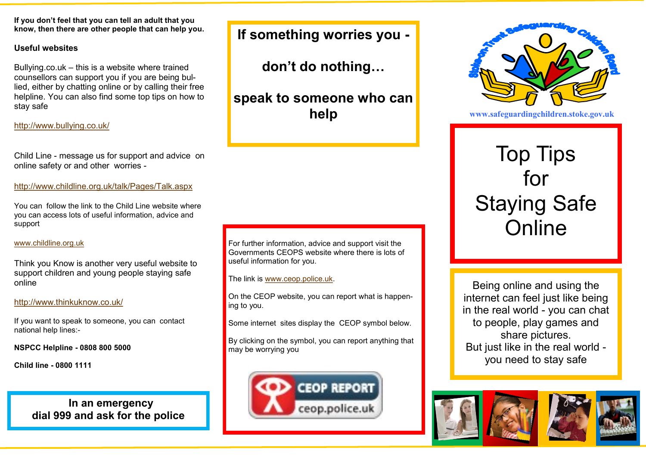**If you don't feel that you can tell an adult that you know, then there are other people that can help you.**

#### **Useful websites**

Bullying.co.uk – this is a website where trained counsellors can support you if you are being bullied, either by chatting online or by calling their free helpline. You can also find some top tips on how to stay safe

# <http://www.bullying.co.uk/>

Child Line - message us for support and advice on online safety or and other worries -

<http://www.childline.org.uk/talk/Pages/Talk.aspx>

You can follow the link to the Child Line website where you can access lots of useful information, advice and support

## [www.childline.org.uk](http://www.childline.org.uk)

Think you Know is another very useful website to support children and young people staying safe online

# <http://www.thinkuknow.co.uk/>

If you want to speak to someone, you can contact national help lines:-

**NSPCC Helpline - 0808 800 5000**

**Child line - 0800 1111**

 **In an emergency dial 999 and ask for the police** **If something worries you -**

**don't do nothing…**

**speak to someone who can help**

#### For further information, advice and support visit the Governments CEOPS website where there is lots of useful information for you.

The link is [www.ceop.police.uk.](http://www.ceop.police.uk)

On the CEOP website, you can report what is happening to you.

Some internet sites display the CEOP symbol below.

By clicking on the symbol, you can report anything that may be worrying you





**www.safeguardingchildren.stoke.gov.uk** 

**stoke.gov.uk**

# Top Tips for Staying Safe **Online**

Being online and using the internet can feel just like being in the real world - you can chat to people, play games and share pictures. But just like in the real world you need to stay safe